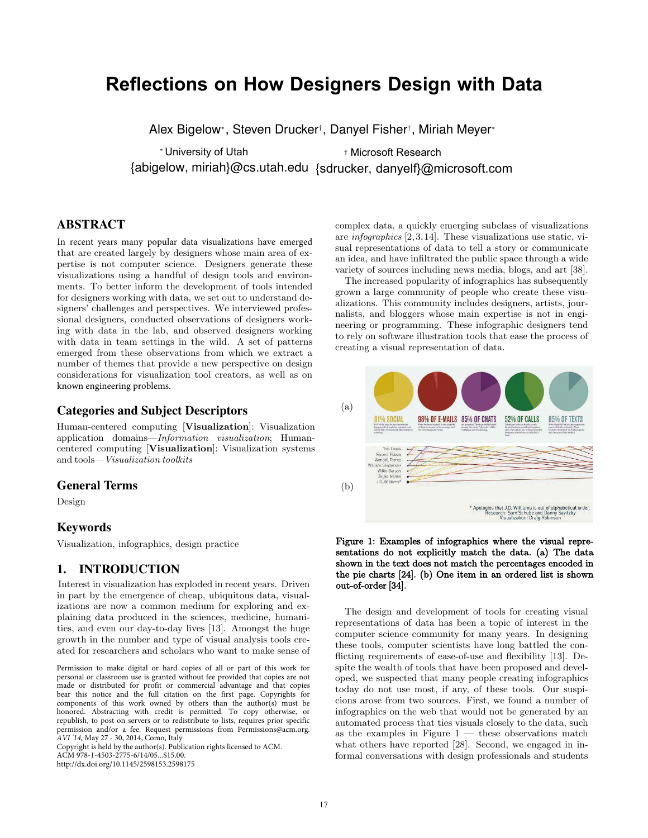# **Reflections on How Designers Design with Data**

Alex Bigelow<sup>∗</sup> , Steven Drucker† , Danyel Fisher† , Miriah Meyer<sup>∗</sup>

<sup>∗</sup> University of Utah {abigelow, miriah}@cs.utah.edu {sdrucker, danyelf}@microsoft.com† Microsoft Research

# ABSTRACT

In recent years many popular data visualizations have emerged that are created largely by designers whose main area of expertise is not computer science. Designers generate these visualizations using a handful of design tools and environments. To better inform the development of tools intended for designers working with data, we set out to understand designers' challenges and perspectives. We interviewed professional designers, conducted observations of designers working with data in the lab, and observed designers working with data in team settings in the wild. A set of patterns emerged from these observations from which we extract a number of themes that provide a new perspective on design considerations for visualization tool creators, as well as on known engineering problems.

# Categories and Subject Descriptors

Human-centered computing [Visualization]: Visualization application domains—Information visualization; Humancentered computing [Visualization]: Visualization systems and tools—Visualization toolkits

#### General Terms

Design

## Keywords

Visualization, infographics, design practice

# 1. INTRODUCTION

Interest in visualization has exploded in recent years. Driven in part by the emergence of cheap, ubiquitous data, visualizations are now a common medium for exploring and explaining data produced in the sciences, medicine, humanities, and even our day-to-day lives [13]. Amongst the huge growth in the number and type of visual analysis tools created for researchers and scholars who want to make sense of

Permission to make digital or hard copies of all or part of this work for personal or classroom use is granted without fee provided that copies are not made or distributed for profit or commercial advantage and that copies bear this notice and the full citation on the first page. Copyrights for components of this work owned by others than the author(s) must be honored. Abstracting with credit is permitted. To copy otherwise, or republish, to post on servers or to redistribute to lists, requires prior specific permission and/or a fee. Request permissions from Permissions@acm.org. AVI '14, May 27 - 30, 2014, Como, Italy

Copyright is held by the author(s). Publication rights licensed to ACM.

 $ACM 978 - 1 - 4503 - 2775 - 6/14/05$ . \$15.00

http://dx.doi.org/10.1145/2598153.2598175

complex data, a quickly emerging subclass of visualizations are infographics [2, 3, 14]. These visualizations use static, visual representations of data to tell a story or communicate an idea, and have infiltrated the public space through a wide variety of sources including news media, blogs, and art [38].

The increased popularity of infographics has subsequently grown a large community of people who create these visualizations. This community includes designers, artists, journalists, and bloggers whose main expertise is not in engineering or programming. These infographic designers tend to rely on software illustration tools that ease the process of creating a visual representation of data.





The design and development of tools for creating visual representations of data has been a topic of interest in the computer science community for many years. In designing these tools, computer scientists have long battled the conflicting requirements of ease-of-use and flexibility [13]. Despite the wealth of tools that have been proposed and developed, we suspected that many people creating infographics today do not use most, if any, of these tools. Our suspicions arose from two sources. First, we found a number of infographics on the web that would not be generated by an automated process that ties visuals closely to the data, such as the examples in Figure  $1$  — these observations match what others have reported [28]. Second, we engaged in informal conversations with design professionals and students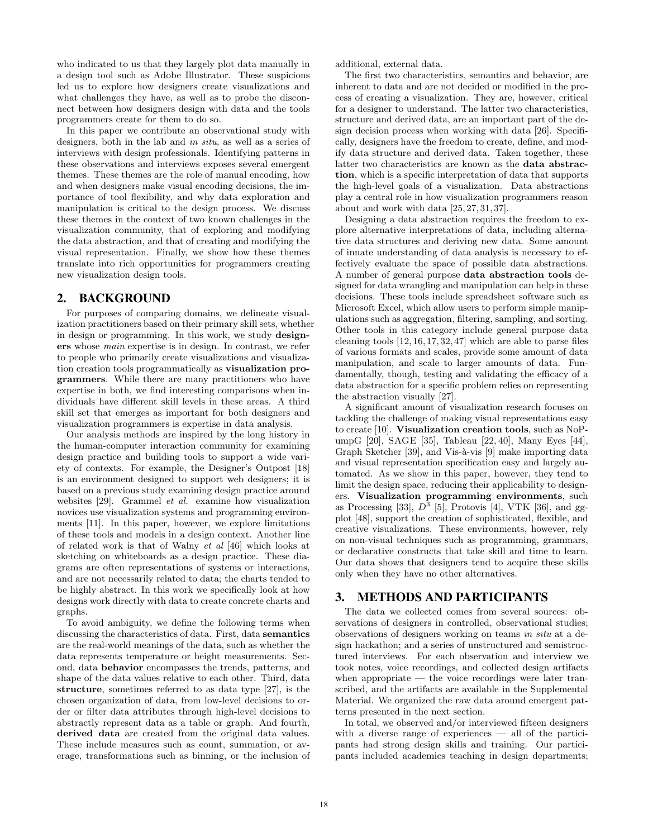who indicated to us that they largely plot data manually in a design tool such as Adobe Illustrator. These suspicions led us to explore how designers create visualizations and what challenges they have, as well as to probe the disconnect between how designers design with data and the tools programmers create for them to do so.

In this paper we contribute an observational study with designers, both in the lab and in situ, as well as a series of interviews with design professionals. Identifying patterns in these observations and interviews exposes several emergent themes. These themes are the role of manual encoding, how and when designers make visual encoding decisions, the importance of tool flexibility, and why data exploration and manipulation is critical to the design process. We discuss these themes in the context of two known challenges in the visualization community, that of exploring and modifying the data abstraction, and that of creating and modifying the visual representation. Finally, we show how these themes translate into rich opportunities for programmers creating new visualization design tools.

## 2. BACKGROUND

For purposes of comparing domains, we delineate visualization practitioners based on their primary skill sets, whether in design or programming. In this work, we study designers whose main expertise is in design. In contrast, we refer to people who primarily create visualizations and visualization creation tools programmatically as visualization programmers. While there are many practitioners who have expertise in both, we find interesting comparisons when individuals have different skill levels in these areas. A third skill set that emerges as important for both designers and visualization programmers is expertise in data analysis.

Our analysis methods are inspired by the long history in the human-computer interaction community for examining design practice and building tools to support a wide variety of contexts. For example, the Designer's Outpost [18] is an environment designed to support web designers; it is based on a previous study examining design practice around websites [29]. Grammel et al. examine how visualization novices use visualization systems and programming environments [11]. In this paper, however, we explore limitations of these tools and models in a design context. Another line of related work is that of Walny et al [46] which looks at sketching on whiteboards as a design practice. These diagrams are often representations of systems or interactions, and are not necessarily related to data; the charts tended to be highly abstract. In this work we specifically look at how designs work directly with data to create concrete charts and graphs.

To avoid ambiguity, we define the following terms when discussing the characteristics of data. First, data semantics are the real-world meanings of the data, such as whether the data represents temperature or height measurements. Second, data behavior encompasses the trends, patterns, and shape of the data values relative to each other. Third, data structure, sometimes referred to as data type [27], is the chosen organization of data, from low-level decisions to order or filter data attributes through high-level decisions to abstractly represent data as a table or graph. And fourth, derived data are created from the original data values. These include measures such as count, summation, or average, transformations such as binning, or the inclusion of additional, external data.

The first two characteristics, semantics and behavior, are inherent to data and are not decided or modified in the process of creating a visualization. They are, however, critical for a designer to understand. The latter two characteristics, structure and derived data, are an important part of the design decision process when working with data [26]. Specifically, designers have the freedom to create, define, and modify data structure and derived data. Taken together, these latter two characteristics are known as the data abstraction, which is a specific interpretation of data that supports the high-level goals of a visualization. Data abstractions play a central role in how visualization programmers reason about and work with data [25, 27, 31, 37].

Designing a data abstraction requires the freedom to explore alternative interpretations of data, including alternative data structures and deriving new data. Some amount of innate understanding of data analysis is necessary to effectively evaluate the space of possible data abstractions. A number of general purpose data abstraction tools designed for data wrangling and manipulation can help in these decisions. These tools include spreadsheet software such as Microsoft Excel, which allow users to perform simple manipulations such as aggregation, filtering, sampling, and sorting. Other tools in this category include general purpose data cleaning tools [12, 16, 17, 32, 47] which are able to parse files of various formats and scales, provide some amount of data manipulation, and scale to larger amounts of data. Fundamentally, though, testing and validating the efficacy of a data abstraction for a specific problem relies on representing the abstraction visually [27].

A significant amount of visualization research focuses on tackling the challenge of making visual representations easy to create [10]. Visualization creation tools, such as NoPumpG [20], SAGE [35], Tableau [22, 40], Many Eyes [44], Graph Sketcher [39], and Vis-à-vis [9] make importing data and visual representation specification easy and largely automated. As we show in this paper, however, they tend to limit the design space, reducing their applicability to designers. Visualization programming environments, such as Processing [33],  $D^3$  [5], Protovis [4], VTK [36], and ggplot [48], support the creation of sophisticated, flexible, and creative visualizations. These environments, however, rely on non-visual techniques such as programming, grammars, or declarative constructs that take skill and time to learn. Our data shows that designers tend to acquire these skills only when they have no other alternatives.

## 3. METHODS AND PARTICIPANTS

The data we collected comes from several sources: observations of designers in controlled, observational studies; observations of designers working on teams in situ at a design hackathon; and a series of unstructured and semistructured interviews. For each observation and interview we took notes, voice recordings, and collected design artifacts when appropriate — the voice recordings were later transcribed, and the artifacts are available in the Supplemental Material. We organized the raw data around emergent patterns presented in the next section.

In total, we observed and/or interviewed fifteen designers with a diverse range of experiences — all of the participants had strong design skills and training. Our participants included academics teaching in design departments;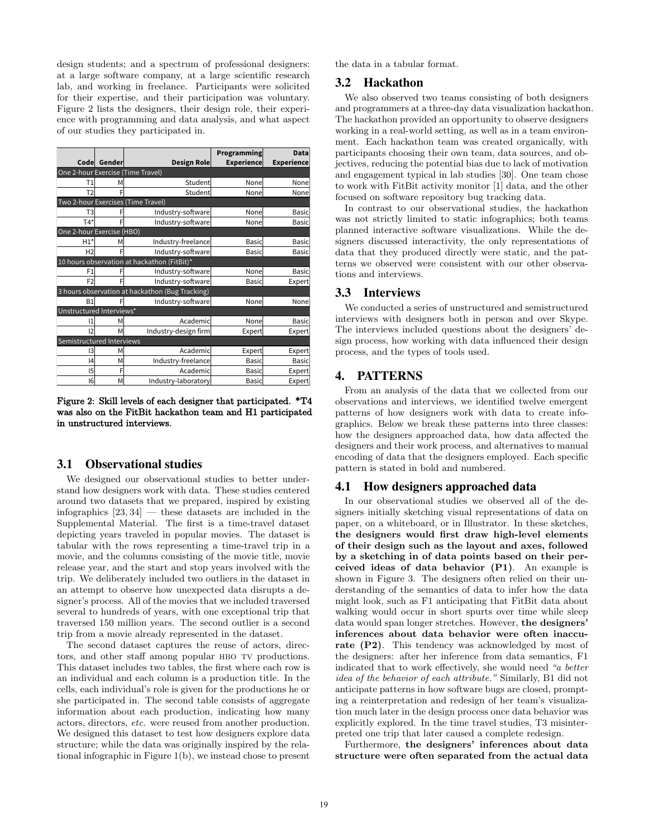design students; and a spectrum of professional designers: at a large software company, at a large scientific research lab, and working in freelance. Participants were solicited for their expertise, and their participation was voluntary. Figure 2 lists the designers, their design role, their experience with programming and data analysis, and what aspect of our studies they participated in.

|                                                 |        |                      | Programming       | <b>Data</b>       |
|-------------------------------------------------|--------|----------------------|-------------------|-------------------|
| Codel                                           | Gender | <b>Design Role</b>   | <b>Experience</b> | <b>Experience</b> |
| One 2-hour Exercise (Time Travel)               |        |                      |                   |                   |
| Τ1                                              | м      | Student              | None              | None              |
| T <sub>2</sub>                                  |        | Student              | Nonel             | None              |
| Two 2-hour Exercises (Time Travel)              |        |                      |                   |                   |
| T3                                              |        | Industry-software    | Nonel             | Basic             |
| $T4*$                                           | F      | Industry-software    | None              | Basic             |
| One 2-hour Exercise (HBO)                       |        |                      |                   |                   |
| $H1*$                                           | м      | Industry-freelance   | <b>Basic</b>      | <b>Basic</b>      |
| H <sub>2</sub>                                  |        | Industry-software    | <b>Basic</b>      | Basic             |
| 10 hours observation at hackathon (FitBit)*     |        |                      |                   |                   |
| F1                                              |        | Industry-software    | Nonel             | <b>Basic</b>      |
| F <sub>2</sub>                                  |        | Industry-software    | <b>Basic</b>      | Expert            |
| 3 hours observation at hackathon (Bug Tracking) |        |                      |                   |                   |
| <b>B1</b>                                       |        | Industry-software    | Nonel             | None              |
| Unstructured Interviews*                        |        |                      |                   |                   |
| 11                                              | м      | Academic             | None              | <b>Basic</b>      |
| 12                                              | М      | Industry-design firm | Expert            | Expert            |
| Semistructured Interviews                       |        |                      |                   |                   |
| 13                                              | м      | Academic             | <b>Expert</b>     | Expert            |
| 14                                              | М      | Industry-freelance   | Basic             | Basic             |
| 5                                               | F      | Academic             | Basic             | Expert            |
| 6                                               | M      | Industry-laboratory  | <b>Basic</b>      | <b>Expert</b>     |

Figure 2: Skill levels of each designer that participated. \*T4 was also on the FitBit hackathon team and H1 participated in unstructured interviews.

## 3.1 Observational studies

We designed our observational studies to better understand how designers work with data. These studies centered around two datasets that we prepared, inspired by existing infographics  $[23, 34]$  — these datasets are included in the Supplemental Material. The first is a time-travel dataset depicting years traveled in popular movies. The dataset is tabular with the rows representing a time-travel trip in a movie, and the columns consisting of the movie title, movie release year, and the start and stop years involved with the trip. We deliberately included two outliers in the dataset in an attempt to observe how unexpected data disrupts a designer's process. All of the movies that we included traversed several to hundreds of years, with one exceptional trip that traversed 150 million years. The second outlier is a second trip from a movie already represented in the dataset.

The second dataset captures the reuse of actors, directors, and other staff among popular HBO TV productions. This dataset includes two tables, the first where each row is an individual and each column is a production title. In the cells, each individual's role is given for the productions he or she participated in. The second table consists of aggregate information about each production, indicating how many actors, directors, etc. were reused from another production. We designed this dataset to test how designers explore data structure; while the data was originally inspired by the relational infographic in Figure 1(b), we instead chose to present the data in a tabular format.

## 3.2 Hackathon

We also observed two teams consisting of both designers and programmers at a three-day data visualization hackathon. The hackathon provided an opportunity to observe designers working in a real-world setting, as well as in a team environment. Each hackathon team was created organically, with participants choosing their own team, data sources, and objectives, reducing the potential bias due to lack of motivation and engagement typical in lab studies [30]. One team chose to work with FitBit activity monitor [1] data, and the other focused on software repository bug tracking data.

In contrast to our observational studies, the hackathon was not strictly limited to static infographics; both teams planned interactive software visualizations. While the designers discussed interactivity, the only representations of data that they produced directly were static, and the patterns we observed were consistent with our other observations and interviews.

#### 3.3 Interviews

We conducted a series of unstructured and semistructured interviews with designers both in person and over Skype. The interviews included questions about the designers' design process, how working with data influenced their design process, and the types of tools used.

## 4. PATTERNS

From an analysis of the data that we collected from our observations and interviews, we identified twelve emergent patterns of how designers work with data to create infographics. Below we break these patterns into three classes: how the designers approached data, how data affected the designers and their work process, and alternatives to manual encoding of data that the designers employed. Each specific pattern is stated in bold and numbered.

#### 4.1 How designers approached data

In our observational studies we observed all of the designers initially sketching visual representations of data on paper, on a whiteboard, or in Illustrator. In these sketches, the designers would first draw high-level elements of their design such as the layout and axes, followed by a sketching in of data points based on their perceived ideas of data behavior (P1). An example is shown in Figure 3. The designers often relied on their understanding of the semantics of data to infer how the data might look, such as F1 anticipating that FitBit data about walking would occur in short spurts over time while sleep data would span longer stretches. However, the designers' inferences about data behavior were often inaccurate (P2). This tendency was acknowledged by most of the designers: after her inference from data semantics, F1 indicated that to work effectively, she would need "a better idea of the behavior of each attribute." Similarly, B1 did not anticipate patterns in how software bugs are closed, prompting a reinterpretation and redesign of her team's visualization much later in the design process once data behavior was explicitly explored. In the time travel studies, T3 misinterpreted one trip that later caused a complete redesign.

Furthermore, the designers' inferences about data structure were often separated from the actual data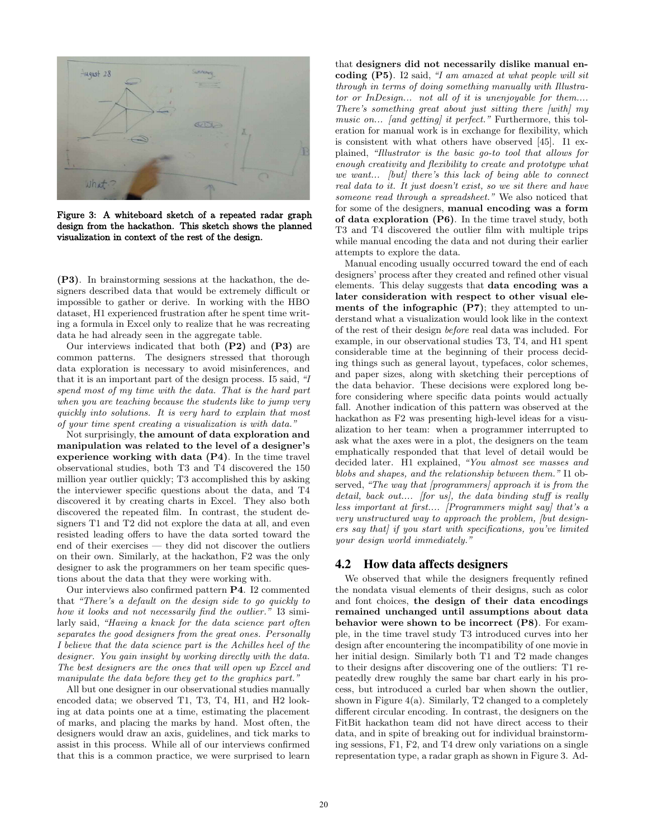

Figure 3: A whiteboard sketch of a repeated radar graph design from the hackathon. This sketch shows the planned visualization in context of the rest of the design.

(P3). In brainstorming sessions at the hackathon, the designers described data that would be extremely difficult or impossible to gather or derive. In working with the HBO dataset, H1 experienced frustration after he spent time writing a formula in Excel only to realize that he was recreating data he had already seen in the aggregate table.

Our interviews indicated that both (P2) and (P3) are common patterns. The designers stressed that thorough data exploration is necessary to avoid misinferences, and that it is an important part of the design process. I5 said, "I spend most of my time with the data. That is the hard part when you are teaching because the students like to jump very quickly into solutions. It is very hard to explain that most of your time spent creating a visualization is with data."

Not surprisingly, the amount of data exploration and manipulation was related to the level of a designer's experience working with data (P4). In the time travel observational studies, both T3 and T4 discovered the 150 million year outlier quickly; T3 accomplished this by asking the interviewer specific questions about the data, and T4 discovered it by creating charts in Excel. They also both discovered the repeated film. In contrast, the student designers T1 and T2 did not explore the data at all, and even resisted leading offers to have the data sorted toward the end of their exercises — they did not discover the outliers on their own. Similarly, at the hackathon, F2 was the only designer to ask the programmers on her team specific questions about the data that they were working with.

Our interviews also confirmed pattern P4. I2 commented that "There's a default on the design side to go quickly to how it looks and not necessarily find the outlier." I3 similarly said, "Having a knack for the data science part often separates the good designers from the great ones. Personally I believe that the data science part is the Achilles heel of the designer. You gain insight by working directly with the data. The best designers are the ones that will open up Excel and manipulate the data before they get to the graphics part."

All but one designer in our observational studies manually encoded data; we observed T1, T3, T4, H1, and H2 looking at data points one at a time, estimating the placement of marks, and placing the marks by hand. Most often, the designers would draw an axis, guidelines, and tick marks to assist in this process. While all of our interviews confirmed that this is a common practice, we were surprised to learn that designers did not necessarily dislike manual encoding (P5). I2 said, "I am amazed at what people will sit through in terms of doing something manually with Illustrator or InDesign... not all of it is unenjoyable for them.... There's something great about just sitting there [with] my music on... [and getting] it perfect." Furthermore, this toleration for manual work is in exchange for flexibility, which is consistent with what others have observed [45]. I1 explained, "Illustrator is the basic go-to tool that allows for enough creativity and flexibility to create and prototype what we want... [but] there's this lack of being able to connect real data to it. It just doesn't exist, so we sit there and have someone read through a spreadsheet." We also noticed that for some of the designers, manual encoding was a form of data exploration (P6). In the time travel study, both T3 and T4 discovered the outlier film with multiple trips while manual encoding the data and not during their earlier attempts to explore the data.

Manual encoding usually occurred toward the end of each designers' process after they created and refined other visual elements. This delay suggests that data encoding was a later consideration with respect to other visual elements of the infographic (P7); they attempted to understand what a visualization would look like in the context of the rest of their design before real data was included. For example, in our observational studies T3, T4, and H1 spent considerable time at the beginning of their process deciding things such as general layout, typefaces, color schemes, and paper sizes, along with sketching their perceptions of the data behavior. These decisions were explored long before considering where specific data points would actually fall. Another indication of this pattern was observed at the hackathon as F2 was presenting high-level ideas for a visualization to her team: when a programmer interrupted to ask what the axes were in a plot, the designers on the team emphatically responded that that level of detail would be decided later. H1 explained, "You almost see masses and blobs and shapes, and the relationship between them." I1 observed, "The way that [programmers] approach it is from the detail, back out.... [for us], the data binding stuff is really less important at first.... [Programmers might say] that's a very unstructured way to approach the problem, [but designers say that] if you start with specifications, you've limited your design world immediately."

# 4.2 How data affects designers

We observed that while the designers frequently refined the nondata visual elements of their designs, such as color and font choices, the design of their data encodings remained unchanged until assumptions about data behavior were shown to be incorrect (P8). For example, in the time travel study T3 introduced curves into her design after encountering the incompatibility of one movie in her initial design. Similarly both T1 and T2 made changes to their designs after discovering one of the outliers: T1 repeatedly drew roughly the same bar chart early in his process, but introduced a curled bar when shown the outlier, shown in Figure  $4(a)$ . Similarly, T2 changed to a completely different circular encoding. In contrast, the designers on the FitBit hackathon team did not have direct access to their data, and in spite of breaking out for individual brainstorming sessions, F1, F2, and T4 drew only variations on a single representation type, a radar graph as shown in Figure 3. Ad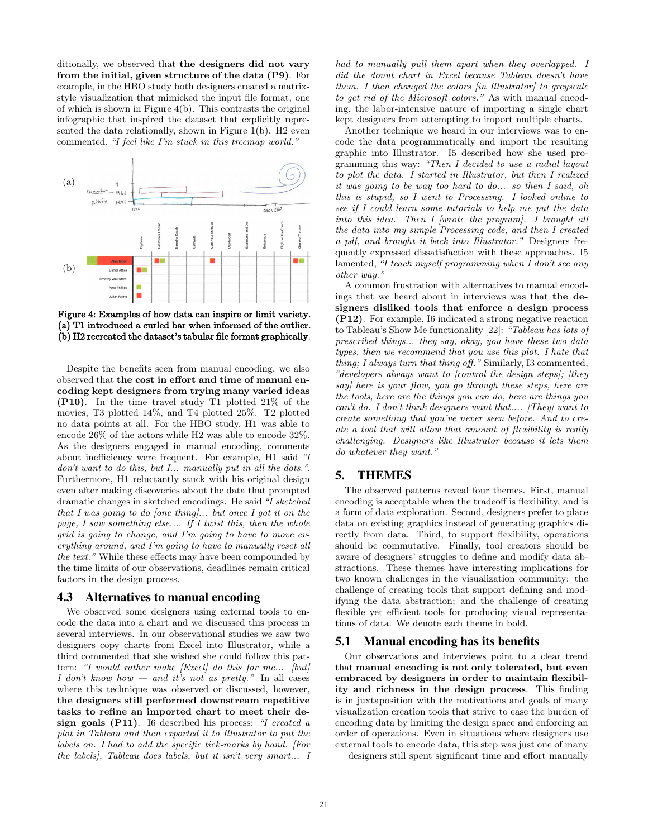ditionally, we observed that the designers did not vary from the initial, given structure of the data (P9). For example, in the HBO study both designers created a matrixstyle visualization that mimicked the input file format, one of which is shown in Figure 4(b). This contrasts the original infographic that inspired the dataset that explicitly represented the data relationally, shown in Figure 1(b). H2 even commented, "I feel like I'm stuck in this treemap world."



Figure 4: Examples of how data can inspire or limit variety. (a) T1 introduced a curled bar when informed of the outlier. (b) H2 recreated the dataset's tabular file format graphically.

Despite the benefits seen from manual encoding, we also observed that the cost in effort and time of manual encoding kept designers from trying many varied ideas (P10). In the time travel study T1 plotted 21% of the movies, T3 plotted 14%, and T4 plotted 25%. T2 plotted no data points at all. For the HBO study, H1 was able to encode 26% of the actors while H2 was able to encode 32%. As the designers engaged in manual encoding, comments about inefficiency were frequent. For example, H1 said "I don't want to do this, but I... manually put in all the dots.". Furthermore, H1 reluctantly stuck with his original design even after making discoveries about the data that prompted dramatic changes in sketched encodings. He said "I sketched that I was going to do [one thing]... but once I got it on the page, I saw something else.... If I twist this, then the whole grid is going to change, and I'm going to have to move everything around, and I'm going to have to manually reset all the text." While these effects may have been compounded by the time limits of our observations, deadlines remain critical factors in the design process.

#### 4.3 Alternatives to manual encoding

We observed some designers using external tools to encode the data into a chart and we discussed this process in several interviews. In our observational studies we saw two designers copy charts from Excel into Illustrator, while a third commented that she wished she could follow this pattern: "I would rather make [Excel] do this for me... [but] I don't know how — and it's not as pretty." In all cases where this technique was observed or discussed, however, the designers still performed downstream repetitive tasks to refine an imported chart to meet their design goals (P11). If described his process: "I created a plot in Tableau and then exported it to Illustrator to put the labels on. I had to add the specific tick-marks by hand. [For the labels], Tableau does labels, but it isn't very smart... I had to manually pull them apart when they overlapped. I did the donut chart in Excel because Tableau doesn't have  $them.$  I then changed the colors  $\left| in \right.$  Illustrator  $\left|$  to greyscale to get rid of the Microsoft colors." As with manual encoding, the labor-intensive nature of importing a single chart kept designers from attempting to import multiple charts.

Another technique we heard in our interviews was to encode the data programmatically and import the resulting graphic into Illustrator. I5 described how she used programming this way: "Then I decided to use a radial layout to plot the data. I started in Illustrator, but then I realized it was going to be way too hard to do... so then I said, oh this is stupid, so I went to Processing. I looked online to see if I could learn some tutorials to help me put the data into this idea. Then I wrote the program. I brought all the data into my simple Processing code, and then I created a pdf, and brought it back into Illustrator." Designers frequently expressed dissatisfaction with these approaches. I5 lamented, "I teach myself programming when I don't see any other way."

A common frustration with alternatives to manual encodings that we heard about in interviews was that the designers disliked tools that enforce a design process (P12). For example, I6 indicated a strong negative reaction to Tableau's Show Me functionality [22]: "Tableau has lots of prescribed things... they say, okay, you have these two data types, then we recommend that you use this plot. I hate that thing; I always turn that thing off." Similarly, I3 commented, "developers always want to [control the design steps]; [they say] here is your flow, you go through these steps, here are the tools, here are the things you can do, here are things you can't do. I don't think designers want that.... [They] want to create something that you've never seen before. And to create a tool that will allow that amount of flexibility is really challenging. Designers like Illustrator because it lets them do whatever they want."

## 5. THEMES

The observed patterns reveal four themes. First, manual encoding is acceptable when the tradeoff is flexibility, and is a form of data exploration. Second, designers prefer to place data on existing graphics instead of generating graphics directly from data. Third, to support flexibility, operations should be commutative. Finally, tool creators should be aware of designers' struggles to define and modify data abstractions. These themes have interesting implications for two known challenges in the visualization community: the challenge of creating tools that support defining and modifying the data abstraction; and the challenge of creating flexible yet efficient tools for producing visual representations of data. We denote each theme in bold.

#### 5.1 Manual encoding has its benefits

Our observations and interviews point to a clear trend that manual encoding is not only tolerated, but even embraced by designers in order to maintain flexibility and richness in the design process. This finding is in juxtaposition with the motivations and goals of many visualization creation tools that strive to ease the burden of encoding data by limiting the design space and enforcing an order of operations. Even in situations where designers use external tools to encode data, this step was just one of many — designers still spent significant time and effort manually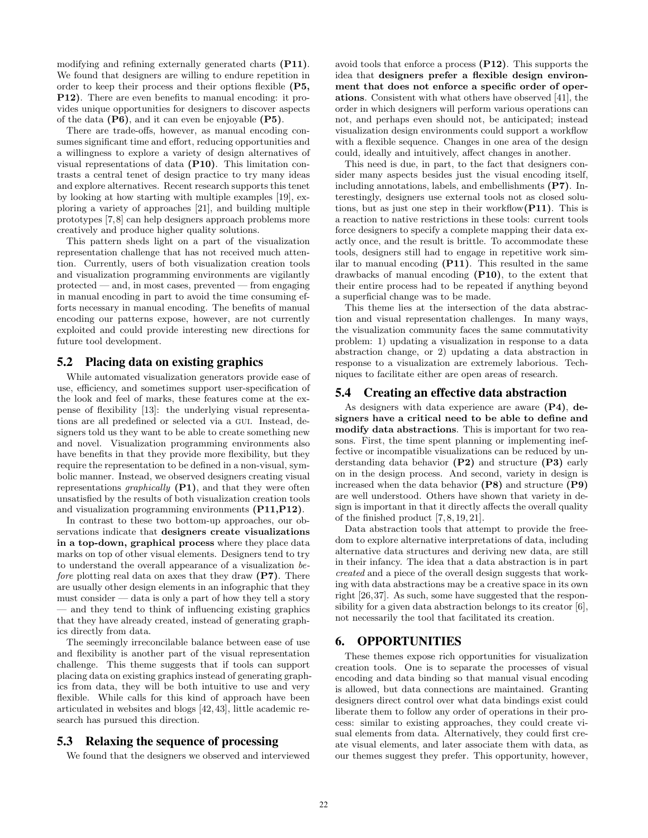modifying and refining externally generated charts (P11). We found that designers are willing to endure repetition in order to keep their process and their options flexible (P5, P12). There are even benefits to manual encoding: it provides unique opportunities for designers to discover aspects of the data (P6), and it can even be enjoyable (P5).

There are trade-offs, however, as manual encoding consumes significant time and effort, reducing opportunities and a willingness to explore a variety of design alternatives of visual representations of data (P10). This limitation contrasts a central tenet of design practice to try many ideas and explore alternatives. Recent research supports this tenet by looking at how starting with multiple examples [19], exploring a variety of approaches [21], and building multiple prototypes [7,8] can help designers approach problems more creatively and produce higher quality solutions.

This pattern sheds light on a part of the visualization representation challenge that has not received much attention. Currently, users of both visualization creation tools and visualization programming environments are vigilantly protected — and, in most cases, prevented — from engaging in manual encoding in part to avoid the time consuming efforts necessary in manual encoding. The benefits of manual encoding our patterns expose, however, are not currently exploited and could provide interesting new directions for future tool development.

#### 5.2 Placing data on existing graphics

While automated visualization generators provide ease of use, efficiency, and sometimes support user-specification of the look and feel of marks, these features come at the expense of flexibility [13]: the underlying visual representations are all predefined or selected via a gui. Instead, designers told us they want to be able to create something new and novel. Visualization programming environments also have benefits in that they provide more flexibility, but they require the representation to be defined in a non-visual, symbolic manner. Instead, we observed designers creating visual representations *graphically*  $(P1)$ , and that they were often unsatisfied by the results of both visualization creation tools and visualization programming environments (P11,P12).

In contrast to these two bottom-up approaches, our observations indicate that designers create visualizations in a top-down, graphical process where they place data marks on top of other visual elements. Designers tend to try to understand the overall appearance of a visualization before plotting real data on axes that they draw (P7). There are usually other design elements in an infographic that they must consider — data is only a part of how they tell a story — and they tend to think of influencing existing graphics that they have already created, instead of generating graphics directly from data.

The seemingly irreconcilable balance between ease of use and flexibility is another part of the visual representation challenge. This theme suggests that if tools can support placing data on existing graphics instead of generating graphics from data, they will be both intuitive to use and very flexible. While calls for this kind of approach have been articulated in websites and blogs [42, 43], little academic research has pursued this direction.

# 5.3 Relaxing the sequence of processing

We found that the designers we observed and interviewed

avoid tools that enforce a process (P12). This supports the idea that designers prefer a flexible design environment that does not enforce a specific order of operations. Consistent with what others have observed [41], the order in which designers will perform various operations can not, and perhaps even should not, be anticipated; instead visualization design environments could support a workflow with a flexible sequence. Changes in one area of the design could, ideally and intuitively, affect changes in another.

This need is due, in part, to the fact that designers consider many aspects besides just the visual encoding itself, including annotations, labels, and embellishments (P7). Interestingly, designers use external tools not as closed solutions, but as just one step in their workflow(P11). This is a reaction to native restrictions in these tools: current tools force designers to specify a complete mapping their data exactly once, and the result is brittle. To accommodate these tools, designers still had to engage in repetitive work similar to manual encoding (P11). This resulted in the same drawbacks of manual encoding (P10), to the extent that their entire process had to be repeated if anything beyond a superficial change was to be made.

This theme lies at the intersection of the data abstraction and visual representation challenges. In many ways, the visualization community faces the same commutativity problem: 1) updating a visualization in response to a data abstraction change, or 2) updating a data abstraction in response to a visualization are extremely laborious. Techniques to facilitate either are open areas of research.

## 5.4 Creating an effective data abstraction

As designers with data experience are aware (P4), designers have a critical need to be able to define and modify data abstractions. This is important for two reasons. First, the time spent planning or implementing ineffective or incompatible visualizations can be reduced by understanding data behavior (P2) and structure (P3) early on in the design process. And second, variety in design is increased when the data behavior (P8) and structure (P9) are well understood. Others have shown that variety in design is important in that it directly affects the overall quality of the finished product [7, 8, 19, 21].

Data abstraction tools that attempt to provide the freedom to explore alternative interpretations of data, including alternative data structures and deriving new data, are still in their infancy. The idea that a data abstraction is in part created and a piece of the overall design suggests that working with data abstractions may be a creative space in its own right [26,37]. As such, some have suggested that the responsibility for a given data abstraction belongs to its creator [6], not necessarily the tool that facilitated its creation.

#### 6. OPPORTUNITIES

These themes expose rich opportunities for visualization creation tools. One is to separate the processes of visual encoding and data binding so that manual visual encoding is allowed, but data connections are maintained. Granting designers direct control over what data bindings exist could liberate them to follow any order of operations in their process: similar to existing approaches, they could create visual elements from data. Alternatively, they could first create visual elements, and later associate them with data, as our themes suggest they prefer. This opportunity, however,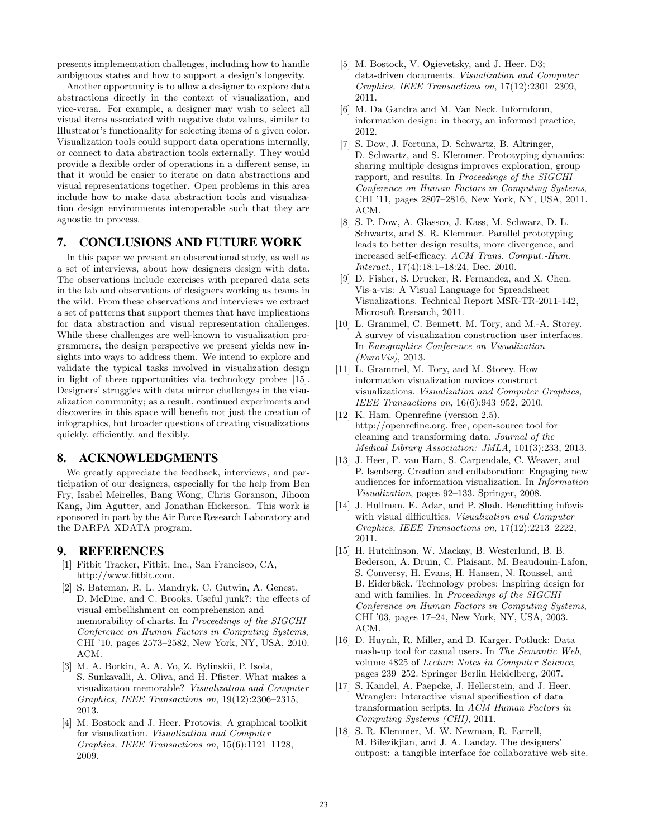presents implementation challenges, including how to handle ambiguous states and how to support a design's longevity.

Another opportunity is to allow a designer to explore data abstractions directly in the context of visualization, and vice-versa. For example, a designer may wish to select all visual items associated with negative data values, similar to Illustrator's functionality for selecting items of a given color. Visualization tools could support data operations internally, or connect to data abstraction tools externally. They would provide a flexible order of operations in a different sense, in that it would be easier to iterate on data abstractions and visual representations together. Open problems in this area include how to make data abstraction tools and visualization design environments interoperable such that they are agnostic to process.

# 7. CONCLUSIONS AND FUTURE WORK

In this paper we present an observational study, as well as a set of interviews, about how designers design with data. The observations include exercises with prepared data sets in the lab and observations of designers working as teams in the wild. From these observations and interviews we extract a set of patterns that support themes that have implications for data abstraction and visual representation challenges. While these challenges are well-known to visualization programmers, the design perspective we present yields new insights into ways to address them. We intend to explore and validate the typical tasks involved in visualization design in light of these opportunities via technology probes [15]. Designers' struggles with data mirror challenges in the visualization community; as a result, continued experiments and discoveries in this space will benefit not just the creation of infographics, but broader questions of creating visualizations quickly, efficiently, and flexibly.

# 8. ACKNOWLEDGMENTS

We greatly appreciate the feedback, interviews, and participation of our designers, especially for the help from Ben Fry, Isabel Meirelles, Bang Wong, Chris Goranson, Jihoon Kang, Jim Agutter, and Jonathan Hickerson. This work is sponsored in part by the Air Force Research Laboratory and the DARPA XDATA program.

#### 9. REFERENCES

- [1] Fitbit Tracker, Fitbit, Inc., San Francisco, CA, http://www.fitbit.com.
- [2] S. Bateman, R. L. Mandryk, C. Gutwin, A. Genest, D. McDine, and C. Brooks. Useful junk?: the effects of visual embellishment on comprehension and memorability of charts. In Proceedings of the SIGCHI Conference on Human Factors in Computing Systems, CHI '10, pages 2573–2582, New York, NY, USA, 2010. ACM.
- [3] M. A. Borkin, A. A. Vo, Z. Bylinskii, P. Isola, S. Sunkavalli, A. Oliva, and H. Pfister. What makes a visualization memorable? Visualization and Computer Graphics, IEEE Transactions on, 19(12):2306–2315, 2013.
- [4] M. Bostock and J. Heer. Protovis: A graphical toolkit for visualization. Visualization and Computer Graphics, IEEE Transactions on, 15(6):1121–1128, 2009.
- [5] M. Bostock, V. Ogievetsky, and J. Heer. D3; data-driven documents. Visualization and Computer Graphics, IEEE Transactions on, 17(12):2301–2309, 2011.
- [6] M. Da Gandra and M. Van Neck. Informform, information design: in theory, an informed practice, 2012.
- [7] S. Dow, J. Fortuna, D. Schwartz, B. Altringer, D. Schwartz, and S. Klemmer. Prototyping dynamics: sharing multiple designs improves exploration, group rapport, and results. In Proceedings of the SIGCHI Conference on Human Factors in Computing Systems, CHI '11, pages 2807–2816, New York, NY, USA, 2011. ACM.
- [8] S. P. Dow, A. Glassco, J. Kass, M. Schwarz, D. L. Schwartz, and S. R. Klemmer. Parallel prototyping leads to better design results, more divergence, and increased self-efficacy. ACM Trans. Comput.-Hum. Interact., 17(4):18:1–18:24, Dec. 2010.
- [9] D. Fisher, S. Drucker, R. Fernandez, and X. Chen. Vis-a-vis: A Visual Language for Spreadsheet Visualizations. Technical Report MSR-TR-2011-142, Microsoft Research, 2011.
- [10] L. Grammel, C. Bennett, M. Tory, and M.-A. Storey. A survey of visualization construction user interfaces. In Eurographics Conference on Visualization  $(EuroVis), 2013.$
- [11] L. Grammel, M. Tory, and M. Storey. How information visualization novices construct visualizations. Visualization and Computer Graphics, IEEE Transactions on, 16(6):943–952, 2010.
- [12] K. Ham. Openrefine (version 2.5). http://openrefine.org. free, open-source tool for cleaning and transforming data. Journal of the Medical Library Association: JMLA, 101(3):233, 2013.
- [13] J. Heer, F. van Ham, S. Carpendale, C. Weaver, and P. Isenberg. Creation and collaboration: Engaging new audiences for information visualization. In Information Visualization, pages 92–133. Springer, 2008.
- [14] J. Hullman, E. Adar, and P. Shah. Benefitting infovis with visual difficulties. Visualization and Computer Graphics, IEEE Transactions on, 17(12):2213–2222, 2011.
- [15] H. Hutchinson, W. Mackay, B. Westerlund, B. B. Bederson, A. Druin, C. Plaisant, M. Beaudouin-Lafon, S. Conversy, H. Evans, H. Hansen, N. Roussel, and B. Eiderbäck. Technology probes: Inspiring design for and with families. In Proceedings of the SIGCHI Conference on Human Factors in Computing Systems, CHI '03, pages 17–24, New York, NY, USA, 2003. ACM.
- [16] D. Huynh, R. Miller, and D. Karger. Potluck: Data mash-up tool for casual users. In The Semantic Web, volume 4825 of Lecture Notes in Computer Science, pages 239–252. Springer Berlin Heidelberg, 2007.
- [17] S. Kandel, A. Paepcke, J. Hellerstein, and J. Heer. Wrangler: Interactive visual specification of data transformation scripts. In ACM Human Factors in Computing Systems (CHI), 2011.
- [18] S. R. Klemmer, M. W. Newman, R. Farrell, M. Bilezikjian, and J. A. Landay. The designers' outpost: a tangible interface for collaborative web site.